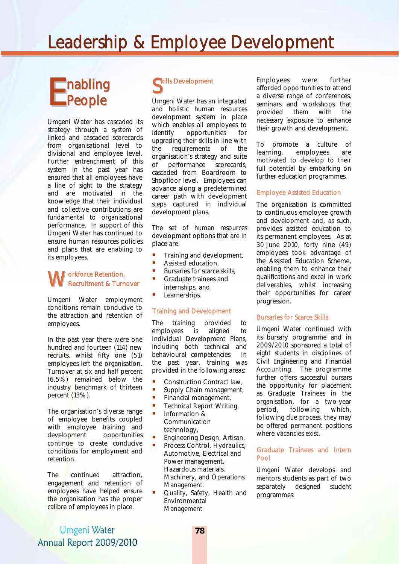# Leadership & Employee Development

# nabling Enabling<br> **E** People

Umgeni Water has cascaded its strategy through a system of linked and cascaded scorecards from organisational level to divisional and employee level. Further entrenchment of this system in the past year has ensured that all employees have a line of sight to the strategy and are motivated in the knowledge that their individual and collective contributions are fundamental to organisational performance. In support of this Umgeni Water has continued to ensure human resources policies and plans that are enabling to its employees.

#### orkforce Retention, Recruitment & Turnover **W**<sub>Re</sub>

Umgeni Water employment conditions remain conducive to the attraction and retention of employees.

In the past year there were one hundred and fourteen (114) new recruits, whilst fifty one (51) employees left the organisation. Turnover at six and half percent (6.5%) remained below the industry benchmark of thirteen percent (13%).

The organisation's diverse range of employee benefits coupled with employee training and development opportunities continue to create conducive conditions for employment and retention.

The continued attraction, engagement and retention of employees have helped ensure the organisation has the proper calibre of employees in place.

# Skills Development

Umgeni Water has an integrated and holistic human resources development system in place which enables all employees to identify opportunities for upgrading their skills in line with the requirements of the organisation's strategy and suite of performance scorecards, cascaded from Boardroom to Shopfloor level. Employees can advance along a predetermined career path with development steps captured in individual development plans.

The set of human resources development options that are in place are:

- Training and development,
- **Assisted education,**
- Bursaries for scarce skills, Graduate trainees and internships, and
- Learnerships.

#### Training and Development

The training provided to employees is aligned to Individual Development Plans, including both technical and behavioural competencies. In the past year, training was provided in the following areas:

- Construction Contract law,
- Supply Chain management,
- **Financial management,**
- **Technical Report Writing,**<br>**P.** Information &
- Information & Communication technology,
- Engineering Design, Artisan,
- Process Control, Hydraulics, Automotive, Electrical and Power management, Hazardous materials, Machinery, and Operations Management.
- Quality, Safety, Health and Environmental Management

Employees were further afforded opportunities to attend a diverse range of conferences, seminars and workshops that provided them with the necessary exposure to enhance their growth and development.

To promote a culture of learning, employees are motivated to develop to their full potential by embarking on further education programmes.

#### Employee Assisted Education

The organisation is committed to continuous employee growth and development and, as such, provides assisted education to its permanent employees. As at 30 June 2010, forty nine (49) employees took advantage of the Assisted Education Scheme, enabling them to enhance their qualifications and excel in work deliverables, whilst increasing their opportunities for career progression.

#### Bursaries for Scarce Skills

Umgeni Water continued with its bursary programme and in 2009/2010 sponsored a total of eight students in disciplines of Civil Engineering and Financial Accounting. The programme further offers successful bursars the opportunity for placement as Graduate Trainees in the organisation, for a two-year period, following which, following due process, they may be offered permanent positions where vacancies exist.

#### Graduate Trainees and Intern Pool

Umgeni Water develops and mentors students as part of two separately designed student programmes:

### Umgeni Water Annual Report 2009/2010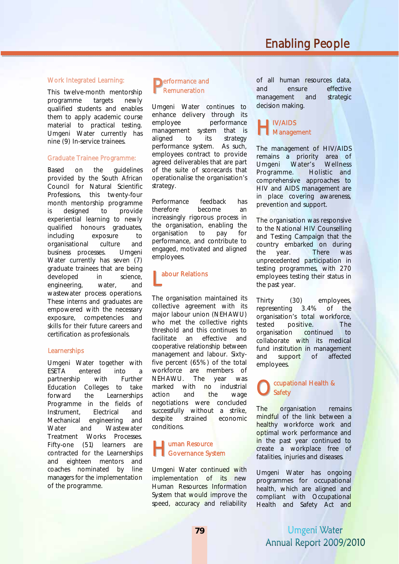#### Work Integrated Learning:

This twelve-month mentorship programme targets newly qualified students and enables them to apply academic course material to practical testing. Umgeni Water currently has nine (9) In-service trainees.

#### Graduate Trainee Programme:

Based on the guidelines provided by the South African Council for Natural Scientific Professions, this twenty-four month mentorship programme is designed to provide experiential learning to newly qualified honours graduates, including exposure to organisational culture and business processes. Umgeni Water currently has seven (7) graduate trainees that are being developed in science, engineering, water, and wastewater process operations. These interns and graduates are empowered with the necessary exposure, competencies and skills for their future careers and certification as professionals.

#### **Learnerships**

Umgeni Water together with ESETA entered into a partnership with Further Education Colleges to take forward the Learnerships Programme in the fields of Instrument, Electrical and Mechanical engineering and Water and Wastewater Treatment Works Processes. Fifty-one (51) learners are contracted for the Learnerships and eighteen mentors and coaches nominated by line managers for the implementation of the programme.

### **P**erformance and<br>Remuneration Remuneration

Umgeni Water continues to enhance delivery through its employee performance management system that is aligned to its strategy performance system. As such, employees contract to provide agreed deliverables that are part of the suite of scorecards that operationalise the organisation's strategy.

Performance feedback has therefore become an increasingly rigorous process in the organisation, enabling the organisation to pay for performance, and contribute to engaged, motivated and aligned employees.

# **L** abour Relations

The organisation maintained its collective agreement with its major labour union (NEHAWU) who met the collective rights threshold and this continues to facilitate an effective and cooperative relationship between management and labour. Sixtyfive percent (65%) of the total workforce are members of<br>NEHAWU. The vear was NEHAWU. The year was marked with no industrial action and the wage negotiations were concluded successfully without a strike, despite strained economic conditions.

### **uman Resource Haman Resource**<br>
Governance System

Umgeni Water continued with implementation of its new Human Resources Information System that would improve the speed, accuracy and reliability of all human resources data, and ensure effective management and strategic decision making.

### **H** IV/AIDS<br>Manager **Management**

The management of HIV/AIDS remains a priority area of Umgeni Water's Wellness Programme. Holistic and comprehensive approaches to HIV and AIDS management are in place covering awareness, prevention and support.

The organisation was responsive to the National HIV Counselling and Testing Campaign that the country embarked on during the year. There was unprecedented participation in testing programmes, with 270 employees testing their status in the past year.

Thirty (30) employees, representing 3.4% of the organisation's total workforce, tested positive. The organisation continued to collaborate with its medical fund institution in management and support of affected employees.

#### ccupational Health & **Safety** O<sub>sa</sub>

The organisation remains mindful of the link between a healthy workforce work and optimal work performance and in the past year continued to create a workplace free of fatalities, injuries and diseases.

Umgeni Water has ongoing programmes for occupational health, which are aligned and compliant with Occupational Health and Safety Act and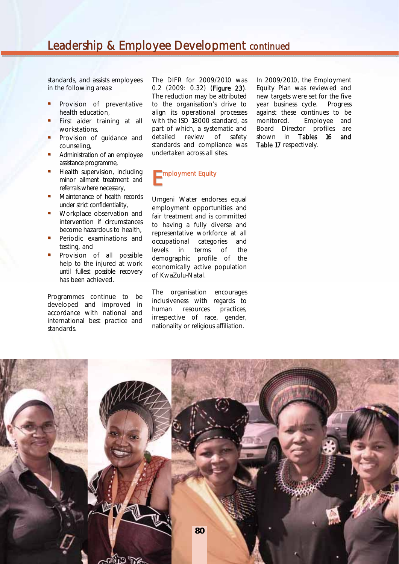standards, and assists employees in the following areas:

- Provision of preventative health education,
- First aider training at all workstations,
- Provision of guidance and counseling,
- Administration of an employee assistance programme,
- Health supervision, including minor ailment treatment and referrals where necessary,
- Maintenance of health records under strict confidentiality,
- **Workplace observation and** intervention if circumstances become hazardous to health,
- Periodic examinations and testing, and
- Provision of all possible help to the injured at work until fullest possible recovery has been achieved.

Programmes continue to be developed and improved in accordance with national and international best practice and standards.

The DIFR for 2009/2010 was 0.2 (2009: 0.32) (Figure 23). The reduction may be attributed to the organisation's drive to align its operational processes with the ISO 18000 standard, as part of which, a systematic and detailed review of safety standards and compliance was undertaken across all sites.



Umgeni Water endorses equal employment opportunities and fair treatment and is committed to having a fully diverse and representative workforce at all occupational categories and levels in terms of the demographic profile of the economically active population of KwaZulu-Natal.

The organisation encourages inclusiveness with regards to human resources practices, irrespective of race, gender, nationality or religious affiliation.

In 2009/2010, the Employment Equity Plan was reviewed and new targets were set for the five year business cycle. Progress against these continues to be monitored. Employee and Board Director profiles are shown in Tables 16 and Table 17 respectively.

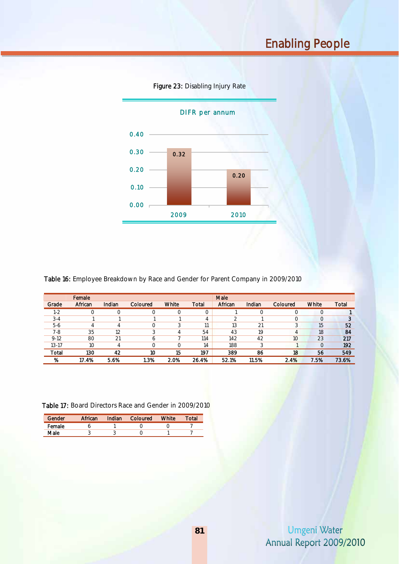

Figure 23: Disabling Injury Rate

Table 16: Employee Breakdown by Race and Gender for Parent Company in 2009/2010

|          | Female  |        |          |       |       | Male    |        |                 |       |       |
|----------|---------|--------|----------|-------|-------|---------|--------|-----------------|-------|-------|
| Grade    | African | Indian | Coloured | White | Total | African | Indian | Coloured        | White | Total |
| $1 - 2$  |         |        | 0        | 0     | 0     |         |        |                 |       |       |
| $3 - 4$  |         |        |          |       | 4     |         |        | ∩               |       |       |
| $5-6$    | 4       | 4      | 0        |       | 11    | 13      | 21     |                 | 15    | 52    |
| 7-8      | 35      | 12     | 3        | 4     | 54    | 43      | 19     | 4               | 18    | 84    |
| $9 - 12$ | 80      | 21     | b        |       | 114   | 142     | 42     | 10 <sup>°</sup> | 23    | 217   |
| 13-17    | 10      | 4      | 0        | 0     | 14    | 188     | 3      |                 |       | 192   |
| Total    | 130     | 42     | 10       | 15    | 197   | 389     | 86     | 18              | 56    | 549   |
| %        | 17.4%   | 5.6%   | l.3%     | 2.0%  | 26.4% | 52.1%   | 11.5%  | 2.4%            | 7.5%  | 73.6% |

Table 17: Board Directors Race and Gender in 2009/2010

| Gender | African | Indian | Coloured | White | Total |
|--------|---------|--------|----------|-------|-------|
| Female |         |        |          |       |       |
| Male   |         |        |          |       |       |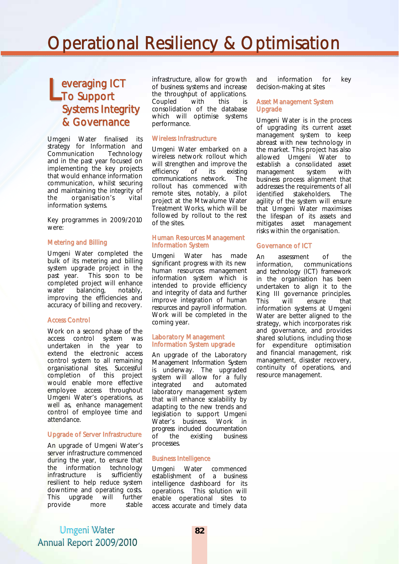# Operational Resiliency & Optimisation

## everaging ICT Leveraging I Systems Integrity & Governance

Umgeni Water finalised its strategy for Information and Communication Technology and in the past year focused on implementing the key projects that would enhance information communication, whilst securing and maintaining the integrity of the organisation's vital information systems.

Key programmes in 2009/2010 were:

#### Metering and Billing

Umgeni Water completed the bulk of its metering and billing system upgrade project in the past year. This soon to be completed project will enhance water balancing, notably, improving the efficiencies and accuracy of billing and recovery.

#### Access Control

Work on a second phase of the access control system was undertaken in the year to extend the electronic access control system to all remaining organisational sites. Successful completion of this project would enable more effective employee access throughout Umgeni Water's operations, as well as, enhance management control of employee time and attendance.

#### Upgrade of Server Infrastructure

An upgrade of Umgeni Water's server infrastructure commenced during the year, to ensure that the information technology infrastructure is sufficiently resilient to help reduce system downtime and operating costs. This upgrade will further<br>provide more stable provide more

infrastructure, allow for growth of business systems and increase the throughput of applications. Coupled with this is consolidation of the database which will optimise systems performance.

#### Wireless Infrastructure

Umgeni Water embarked on a wireless network rollout which will strengthen and improve the efficiency of its existing communications network. The rollout has commenced with remote sites, notably, a pilot project at the Mtwalume Water Treatment Works, which will be followed by rollout to the rest of the sites.

#### Human Resources Management Information System

Umgeni Water has made significant progress with its new human resources management information system which is intended to provide efficiency and integrity of data and further improve integration of human resources and payroll information. Work will be completed in the coming year.

#### Laboratory Management Information System upgrade

An upgrade of the Laboratory Management Information System is underway. The upgraded system will allow for a fully integrated and automated laboratory management system that will enhance scalability by adapting to the new trends and legislation to support Umgeni Water's business. Work in progress included documentation<br>of the existing business of the existing business processes.

#### Business Intelligence

Umgeni Water commenced establishment of a business intelligence dashboard for its operations. This solution will enable operational sites to access accurate and timely data and information for key decision-making at sites

#### Asset Management System Upgrade

Umgeni Water is in the process of upgrading its current asset management system to keep abreast with new technology in the market. This project has also allowed Umgeni Water to establish a consolidated asset management system with business process alignment that addresses the requirements of all identified stakeholders. The agility of the system will ensure that Umgeni Water maximises the lifespan of its assets and mitigates asset management risks within the organisation.

#### Governance of ICT

An assessment of the information, communications and technology (ICT) framework in the organisation has been undertaken to align it to the King III governance principles. This will ensure that information systems at Umgeni Water are better aligned to the strategy, which incorporates risk and governance, and provides shared solutions, including those for expenditure optimisation and financial management, risk management, disaster recovery, continuity of operations, and resource management.

Umgeni Water Annual Report 2009/2010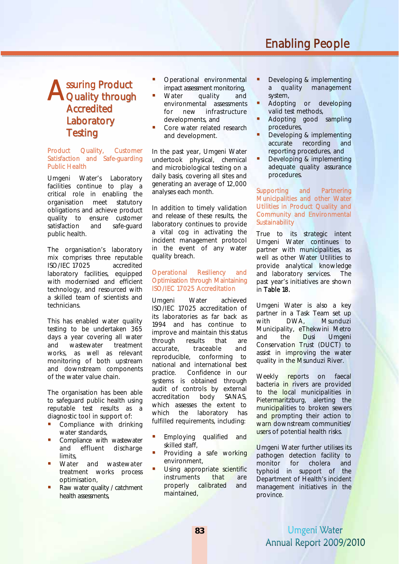# Enabling People

## ssuring Product **A** ssuring Product<br>Quality through Accredited **Laboratory Testing**

#### Product Quality, Customer Satisfaction and Safe-guarding Public Health

Umgeni Water's Laboratory facilities continue to play a critical role in enabling the organisation meet statutory obligations and achieve product quality to ensure customer satisfaction and safe-guard public health.

The organisation's laboratory mix comprises three reputable ISO/IEC 17025 accredited laboratory facilities, equipped with modernised and efficient technology, and resourced with a skilled team of scientists and technicians.

This has enabled water quality testing to be undertaken 365 days a year covering all water and wastewater treatment works, as well as relevant monitoring of both upstream and downstream components of the water value chain.

The organisation has been able to safeguard public health using reputable test results as a diagnostic tool in support of:

- **•** Compliance with drinking water standards,
- Compliance with wastewater and effluent discharge limits,
- Water and wastewater treatment works process optimisation,
- Raw water quality / catchment health assessments.
- Operational environmental impact assessment monitoring,
- Water quality and environmental assessments for new infrastructure developments, and
- Core water related research and development.

In the past year, Umgeni Water undertook physical, chemical and microbiological testing on a daily basis, covering all sites and generating an average of 12,000 analyses each month.

In addition to timely validation and release of these results, the laboratory continues to provide a vital cog in activating the incident management protocol in the event of any water quality breach.

#### Operational Resiliency and Optimisation through Maintaining ISO/IEC 17025 Accreditation

Umgeni Water achieved ISO/IEC 17025 accreditation of its laboratories as far back as 1994 and has continue to improve and maintain this status through results that are accurate, traceable and reproducible, conforming to national and international best practice. Confidence in our systems is obtained through audit of controls by external accreditation body SANAS, which assesses the extent to which the laboratory has fulfilled requirements, including:

- Employing qualified and skilled staff,
- Providing a safe working environment,
- Using appropriate scientific instruments that are properly calibrated and maintained,
- Developing & implementing a quality management system,
- Adopting or developing valid test methods,
- Adopting good sampling procedures,
- Developing & implementing accurate recording and reporting procedures, and
- Developing & implementing adequate quality assurance procedures.

Supporting and Partnering Municipalities and other Water Utilities in Product Quality and Community and Environmental **Sustainability** 

True to its strategic intent Umgeni Water continues to partner with municipalities, as well as other Water Utilities to provide analytical knowledge and laboratory services. The past year's initiatives are shown in Table 18.

Umgeni Water is also a key partner in a Task Team set up with DWA, Msunduzi Municipality, eThekwini Metro and the Dusi Umgeni Conservation Trust (DUCT) to assist in improving the water quality in the Msunduzi River.

Weekly reports on faecal bacteria in rivers are provided to the local municipalities in Pietermaritzburg, alerting the municipalities to broken sewers and prompting their action to warn downstream communities/ users of potential health risks.

Umgeni Water further utilises its pathogen detection facility to monitor for cholera and typhoid in support of the Department of Health's incident management initiatives in the province.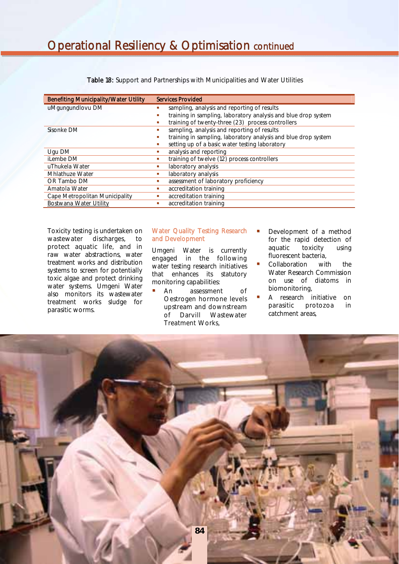| <b>Benefiting Municipality/Water Utility</b> | <b>Services Provided</b>                                            |  |  |  |  |
|----------------------------------------------|---------------------------------------------------------------------|--|--|--|--|
| uMgungundlovu DM                             | sampling, analysis and reporting of results                         |  |  |  |  |
|                                              | training in sampling, laboratory analysis and blue drop system<br>٠ |  |  |  |  |
|                                              | training of twenty-three (23) process controllers<br>٠              |  |  |  |  |
| Sisonke DM                                   | sampling, analysis and reporting of results                         |  |  |  |  |
|                                              | training in sampling, laboratory analysis and blue drop system      |  |  |  |  |
|                                              | setting up of a basic water testing laboratory<br>٠                 |  |  |  |  |
| Ugu DM                                       | analysis and reporting<br>٠                                         |  |  |  |  |
| iLembe DM                                    | training of twelve (12) process controllers<br>٠                    |  |  |  |  |
| uThukela Water                               | laboratory analysis<br>٠                                            |  |  |  |  |
| Mhlathuze Water                              | laboratory analysis<br>٠                                            |  |  |  |  |
| OR Tambo DM                                  | assessment of laboratory proficiency<br>٠                           |  |  |  |  |
| Amatola Water                                | accreditation training<br>٠                                         |  |  |  |  |
| Cape Metropolitan Municipality               | accreditation training<br>٠                                         |  |  |  |  |
| Bostwana Water Utility                       | accreditation training                                              |  |  |  |  |

Table 18: Support and Partnerships with Municipalities and Water Utilities

Toxicity testing is undertaken on wastewater discharges, to protect aquatic life, and in raw water abstractions, water treatment works and distribution systems to screen for potentially toxic algae and protect drinking water systems. Umgeni Water also monitors its wastewater treatment works sludge for parasitic worms.

#### Water Quality Testing Research and Development

Umgeni Water is currently engaged in the following water testing research initiatives that enhances its statutory monitoring capabilities:

- **An** assessment of Oestrogen hormone levels upstream and downstream of Darvill Wastewater Treatment Works,
- Development of a method for the rapid detection of aquatic toxicity using fluorescent bacteria,
- Collaboration with the Water Research Commission on use of diatoms in biomonitoring,
- A research initiative on parasitic protozoa in catchment areas,

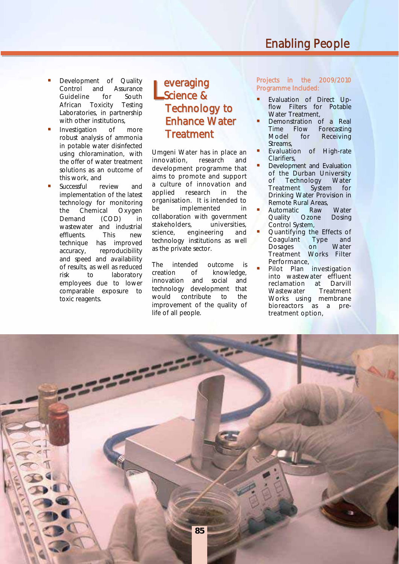- Development of Quality Control and Assurance Guideline for South African Toxicity Testing Laboratories, in partnership with other institutions,
- Investigation of more robust analysis of ammonia in potable water disinfected using chloramination, with the offer of water treatment solutions as an outcome of this work, and
- Successful review and implementation of the latest technology for monitoring the Chemical Oxygen Demand (COD) in wastewater and industrial effluents. This new technique has improved accuracy, reproducibility and speed and availability of results, as well as reduced<br>risk to laboratory risk to laboratory employees due to lower comparable exposure to toxic reagents.

### everaging Science & Technology to Enhance Water **Treatment** L

Umgeni Water has in place an innovation, research and development programme that aims to promote and support a culture of innovation and applied research in the organisation. It is intended to be implemented in collaboration with government stakeholders, universities, science, engineering and technology institutions as well as the private sector.

The intended outcome is creation of knowledge, innovation and social and technology development that would contribute to the improvement of the quality of life of all people.

Projects in the 2009/2010 Programme Included:

- Evaluation of Direct Upflow Filters for Potable Water Treatment,
- Demonstration of a Real Time Flow Forecasting<br>Model for Receiving Receiving Streams,
- Evaluation of High-rate Clarifiers,
- Development and Evaluation of the Durban University<br>of Technology Water of Technology Treatment System for Drinking Water Provision in Remote Rural Areas,
- Automatic Raw Water<br>Quality Ozone Dosing Quality Ozone Dosing Control System,
- Quantifying the Effects of<br>Coagulant Type and Type and<br>
Mater Dosages on Treatment Works Filter Performance,
- Pilot Plan investigation into wastewater effluent reclamation at Darvill Wastewater Treatment Works using membrane bioreactors as a pretreatment option,